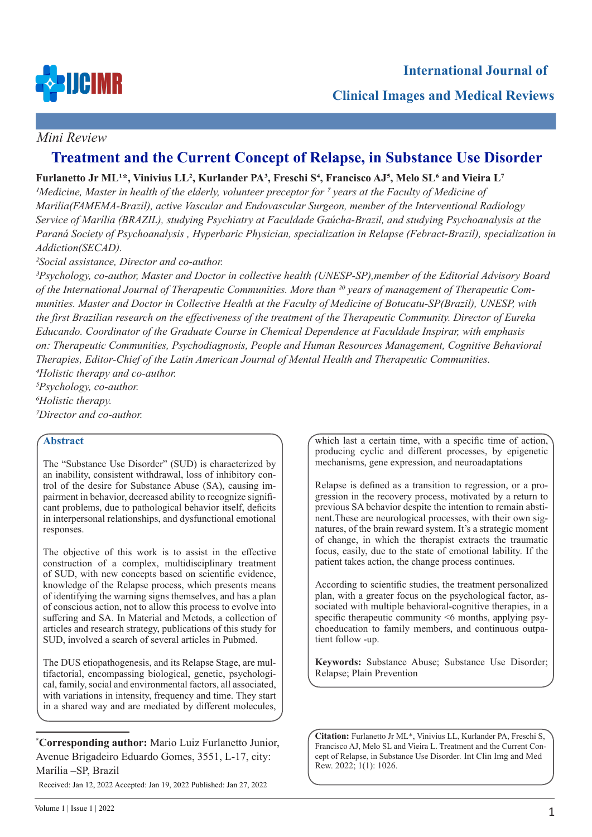

## **Clinical Images and Medical Reviews**

## *Mini Review*

# **Treatment and the Current Concept of Relapse, in Substance Use Disorder**

## **Furlanetto Jr ML1\*, Vinivius LL2, Kurlander PA3, Freschi S4, Francisco AJ5, Melo SL6 and Vieira L7**

*1Medicine, Master in health of the elderly, volunteer preceptor for 7 years at the Faculty of Medicine of Marilia(FAMEMA-Brazil), active Vascular and Endovascular Surgeon, member of the Interventional Radiology Service of Marília (BRAZIL), studying Psychiatry at Faculdade Gaúcha-Brazil, and studying Psychoanalysis at the Paraná Society of Psychoanalysis , Hyperbaric Physician, specialization in Relapse (Febract-Brazil), specialization in Addiction(SECAD).*

*2Social assistance, Director and co-author.*

*3Psychology, co-author, Master and Doctor in collective health (UNESP-SP),member of the Editorial Advisory Board of the International Journal of Therapeutic Communities. More than 20 years of management of Therapeutic Communities. Master and Doctor in Collective Health at the Faculty of Medicine of Botucatu-SP(Brazil), UNESP, with the first Brazilian research on the effectiveness of the treatment of the Therapeutic Community. Director of Eureka Educando. Coordinator of the Graduate Course in Chemical Dependence at Faculdade Inspirar, with emphasis on: Therapeutic Communities, Psychodiagnosis, People and Human Resources Management, Cognitive Behavioral Therapies, Editor-Chief of the Latin American Journal of Mental Health and Therapeutic Communities. 4Holistic therapy and co-author.*

*5Psychology, co-author. 6Holistic therapy. 7Director and co-author.*

### **Abstract**

The "Substance Use Disorder" (SUD) is characterized by an inability, consistent withdrawal, loss of inhibitory control of the desire for Substance Abuse (SA), causing impairment in behavior, decreased ability to recognize significant problems, due to pathological behavior itself, deficits in interpersonal relationships, and dysfunctional emotional responses.

The objective of this work is to assist in the effective construction of a complex, multidisciplinary treatment of SUD, with new concepts based on scientific evidence, knowledge of the Relapse process, which presents means of identifying the warning signs themselves, and has a plan of conscious action, not to allow this process to evolve into suffering and SA. In Material and Metods, a collection of articles and research strategy, publications of this study for SUD, involved a search of several articles in Pubmed.

The DUS etiopathogenesis, and its Relapse Stage, are multifactorial, encompassing biological, genetic, psychological, family, social and environmental factors, all associated, with variations in intensity, frequency and time. They start in a shared way and are mediated by different molecules,

**\* Corresponding author:** Mario Luiz Furlanetto Junior, Avenue Brigadeiro Eduardo Gomes, 3551, L-17, city: Marília –SP, Brazil

Received: Jan 12, 2022 Accepted: Jan 19, 2022 Published: Jan 27, 2022

which last a certain time, with a specific time of action, producing cyclic and different processes, by epigenetic mechanisms, gene expression, and neuroadaptations

Relapse is defined as a transition to regression, or a progression in the recovery process, motivated by a return to previous SA behavior despite the intention to remain abstinent.These are neurological processes, with their own signatures, of the brain reward system. It's a strategic moment of change, in which the therapist extracts the traumatic focus, easily, due to the state of emotional lability. If the patient takes action, the change process continues.

According to scientific studies, the treatment personalized plan, with a greater focus on the psychological factor, associated with multiple behavioral-cognitive therapies, in a specific therapeutic community <6 months, applying psychoeducation to family members, and continuous outpatient follow -up.

**Keywords:** Substance Abuse; Substance Use Disorder; Relapse; Plain Prevention

**Citation:** Furlanetto Jr ML\*, Vinivius LL, Kurlander PA, Freschi S, Francisco AJ, Melo SL and Vieira L. Treatment and the Current Concept of Relapse, in Substance Use Disorder*.* Int Clin Img and Med Rew. 2022; 1(1): 1026.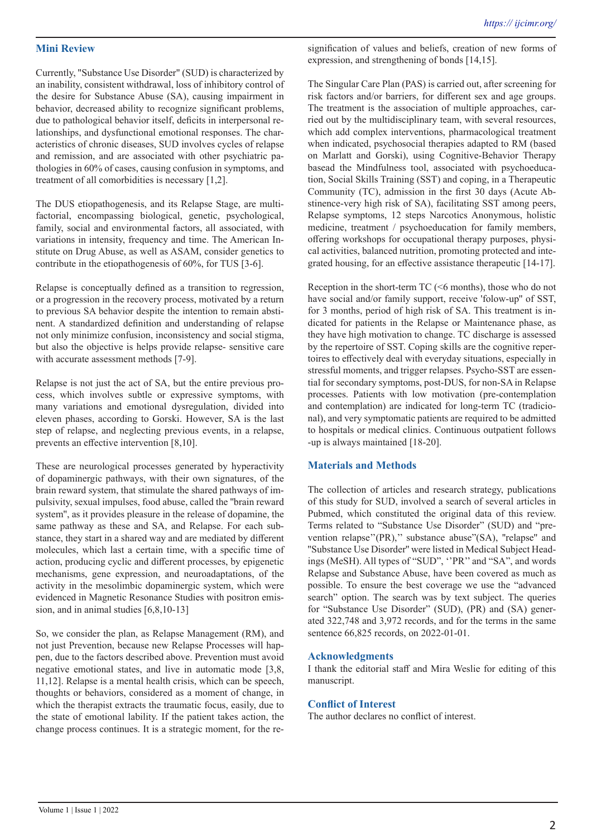#### **Mini Review**

Currently, "Substance Use Disorder" (SUD) is characterized by an inability, consistent withdrawal, loss of inhibitory control of the desire for Substance Abuse (SA), causing impairment in behavior, decreased ability to recognize significant problems, due to pathological behavior itself, deficits in interpersonal relationships, and dysfunctional emotional responses. The characteristics of chronic diseases, SUD involves cycles of relapse and remission, and are associated with other psychiatric pathologies in 60% of cases, causing confusion in symptoms, and treatment of all comorbidities is necessary [1,2].

The DUS etiopathogenesis, and its Relapse Stage, are multifactorial, encompassing biological, genetic, psychological, family, social and environmental factors, all associated, with variations in intensity, frequency and time. The American Institute on Drug Abuse, as well as ASAM, consider genetics to contribute in the etiopathogenesis of 60%, for TUS [3-6].

Relapse is conceptually defined as a transition to regression, or a progression in the recovery process, motivated by a return to previous SA behavior despite the intention to remain abstinent. A standardized definition and understanding of relapse not only minimize confusion, inconsistency and social stigma, but also the objective is helps provide relapse- sensitive care with accurate assessment methods [7-9].

Relapse is not just the act of SA, but the entire previous process, which involves subtle or expressive symptoms, with many variations and emotional dysregulation, divided into eleven phases, according to Gorski. However, SA is the last step of relapse, and neglecting previous events, in a relapse, prevents an effective intervention [8,10].

These are neurological processes generated by hyperactivity of dopaminergic pathways, with their own signatures, of the brain reward system, that stimulate the shared pathways of impulsivity, sexual impulses, food abuse, called the ''brain reward system'', as it provides pleasure in the release of dopamine, the same pathway as these and SA, and Relapse. For each substance, they start in a shared way and are mediated by different molecules, which last a certain time, with a specific time of action, producing cyclic and different processes, by epigenetic mechanisms, gene expression, and neuroadaptations, of the activity in the mesolimbic dopaminergic system, which were evidenced in Magnetic Resonance Studies with positron emission, and in animal studies [6,8,10-13]

So, we consider the plan, as Relapse Management (RM), and not just Prevention, because new Relapse Processes will happen, due to the factors described above. Prevention must avoid negative emotional states, and live in automatic mode [3,8, 11,12]. Relapse is a mental health crisis, which can be speech, thoughts or behaviors, considered as a moment of change, in which the therapist extracts the traumatic focus, easily, due to the state of emotional lability. If the patient takes action, the change process continues. It is a strategic moment, for the resignification of values and beliefs, creation of new forms of expression, and strengthening of bonds [14,15].

The Singular Care Plan (PAS) is carried out, after screening for risk factors and/or barriers, for different sex and age groups. The treatment is the association of multiple approaches, carried out by the multidisciplinary team, with several resources, which add complex interventions, pharmacological treatment when indicated, psychosocial therapies adapted to RM (based on Marlatt and Gorski), using Cognitive-Behavior Therapy basead the Mindfulness tool, associated with psychoeducation, Social Skills Training (SST) and coping, in a Therapeutic Community (TC), admission in the first 30 days (Acute Abstinence-very high risk of SA), facilitating SST among peers, Relapse symptoms, 12 steps Narcotics Anonymous, holistic medicine, treatment / psychoeducation for family members, offering workshops for occupational therapy purposes, physical activities, balanced nutrition, promoting protected and integrated housing, for an effective assistance therapeutic [14-17].

Reception in the short-term  $TC$  ( $\leq 6$  months), those who do not have social and/or family support, receive 'folow-up'' of SST, for 3 months, period of high risk of SA. This treatment is indicated for patients in the Relapse or Maintenance phase, as they have high motivation to change. TC discharge is assessed by the repertoire of SST. Coping skills are the cognitive repertoires to effectively deal with everyday situations, especially in stressful moments, and trigger relapses. Psycho-SST are essential for secondary symptoms, post-DUS, for non-SA in Relapse processes. Patients with low motivation (pre-contemplation and contemplation) are indicated for long-term TC (tradicional), and very symptomatic patients are required to be admitted to hospitals or medical clinics. Continuous outpatient follows -up is always maintained [18-20].

#### **Materials and Methods**

The collection of articles and research strategy, publications of this study for SUD, involved a search of several articles in Pubmed, which constituted the original data of this review. Terms related to "Substance Use Disorder" (SUD) and "prevention relapse"(PR)," substance abuse"(SA), "relapse" and ''Substance Use Disorder'' were listed in Medical Subject Headings (MeSH). All types of "SUD", ''PR'' and "SA", and words Relapse and Substance Abuse, have been covered as much as possible. To ensure the best coverage we use the "advanced search" option. The search was by text subject. The queries for "Substance Use Disorder" (SUD), (PR) and (SA) generated 322,748 and 3,972 records, and for the terms in the same sentence 66,825 records, on 2022-01-01.

#### **Acknowledgments**

I thank the editorial staff and Mira Weslie for editing of this manuscript.

#### **Conflict of Interest**

The author declares no conflict of interest.